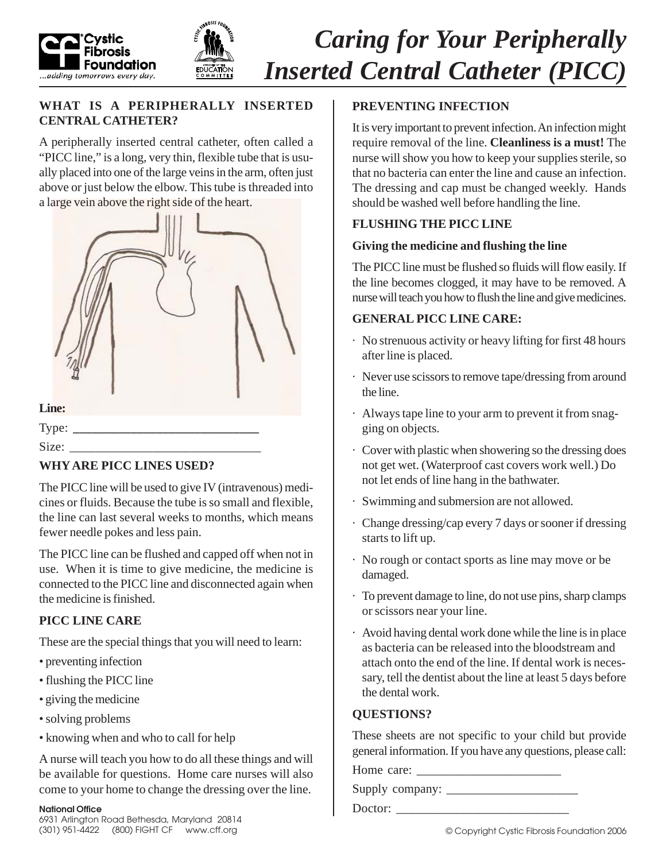



# *Caring for Your Peripherally Inserted Central Catheter (PICC)*

#### **WHAT IS A PERIPHERALLY INSERTED CENTRAL CATHETER?**

A peripherally inserted central catheter, often called a "PICC line," is a long, very thin, flexible tube that is usually placed into one of the large veins in the arm, often just above or just below the elbow. This tube is threaded into a large vein above the right side of the heart.



# **WHY ARE PICC LINES USED?**

The PICC line will be used to give IV (intravenous) medicines or fluids. Because the tube is so small and flexible, the line can last several weeks to months, which means fewer needle pokes and less pain.

The PICC line can be flushed and capped off when not in use. When it is time to give medicine, the medicine is connected to the PICC line and disconnected again when the medicine is finished.

# **PICC LINE CARE**

These are the special things that you will need to learn:

- preventing infection
- flushing the PICC line
- giving the medicine
- solving problems
- knowing when and who to call for help

A nurse will teach you how to do all these things and will be available for questions. Home care nurses will also come to your home to change the dressing over the line.

# **PREVENTING INFECTION**

It is very important to prevent infection. An infection might require removal of the line. **Cleanliness is a must!** The nurse will show you how to keep your supplies sterile, so that no bacteria can enter the line and cause an infection. The dressing and cap must be changed weekly. Hands should be washed well before handling the line.

# **FLUSHING THE PICC LINE**

#### **Giving the medicine and flushing the line**

The PICC line must be flushed so fluids will flow easily. If the line becomes clogged, it may have to be removed. A nurse will teach you how to flush the line and give medicines.

### **GENERAL PICC LINE CARE:**

- · No strenuous activity or heavy lifting for first 48 hours after line is placed.
- · Never use scissors to remove tape/dressing from around the line.
- · Always tape line to your arm to prevent it from snagging on objects.
- · Cover with plastic when showering so the dressing does not get wet. (Waterproof cast covers work well.) Do not let ends of line hang in the bathwater.
- · Swimming and submersion are not allowed.
- · Change dressing/cap every 7 days or sooner if dressing starts to lift up.
- · No rough or contact sports as line may move or be damaged.
- · To prevent damage to line, do not use pins, sharp clamps or scissors near your line.
- · Avoid having dental work done while the line is in place as bacteria can be released into the bloodstream and attach onto the end of the line. If dental work is necessary, tell the dentist about the line at least 5 days before the dental work.

# **QUESTIONS?**

These sheets are not specific to your child but provide general information. If you have any questions, please call:

Home care:

Supply company: \_\_\_\_\_\_\_\_\_\_\_\_\_\_\_\_\_\_\_\_\_

Doctor: \_\_\_\_\_\_\_\_\_\_\_\_\_\_\_\_\_\_\_\_\_\_\_\_\_\_\_